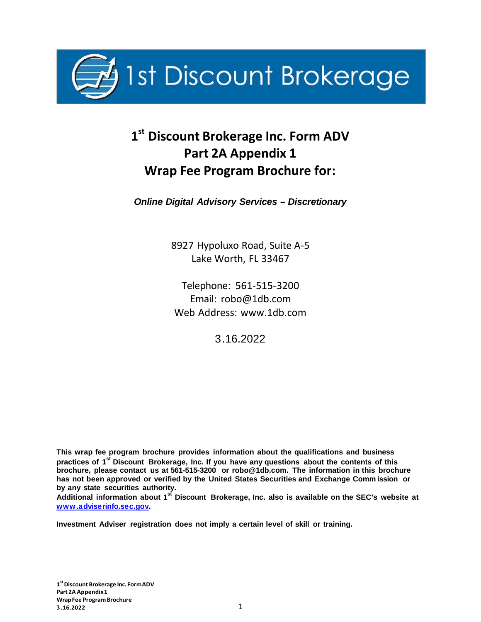

# **1st Discount Brokerage Inc. Form ADV Part 2A Appendix 1 Wrap Fee Program Brochure for:**

*Online Digital Advisory Services – Discretionary*

8927 Hypoluxo Road, Suite A-5 Lake Worth, FL 33467

Telephone: 561-515-3200 Email: [robo@1db.com](mailto:robo@1db.com) Web Address: [www.1db.com](http://www.1db.com/)

3.16.2022

**This wrap fee program brochure provides information about the qualifications and business practices of 1st Discount Brokerage, Inc. If you have any questions about the contents of this brochure, please contact us at 561-515-3200 or [robo@1db.com.](mailto:robo@1db.com) The information in this brochure has not been approved or verified by the United States Securities and Exchange Comm ission or by any state securities authority.**

**Additional information about 1 st Discount Brokerage, Inc. also is available on the SEC's website at [www.adviserinfo.sec.gov.](http://www.adviserinfo.sec.gov/)**

**Investment Adviser registration does not imply a certain level of skill or training.**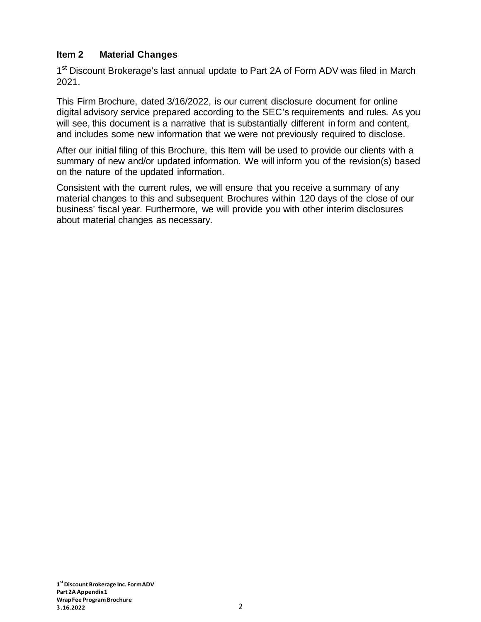# <span id="page-1-0"></span>**Item 2 Material Changes**

1<sup>st</sup> Discount Brokerage's last annual update to Part 2A of Form ADV was filed in March 2021.

This Firm Brochure, dated 3/16/2022, is our current disclosure document for online digital advisory service prepared according to the SEC's requirements and rules. As you will see, this document is a narrative that is substantially different in form and content, and includes some new information that we were not previously required to disclose.

After our initial filing of this Brochure, this Item will be used to provide our clients with a summary of new and/or updated information. We will inform you of the revision(s) based on the nature of the updated information.

Consistent with the current rules, we will ensure that you receive a summary of any material changes to this and subsequent Brochures within 120 days of the close of our business' fiscal year. Furthermore, we will provide you with other interim disclosures about material changes as necessary.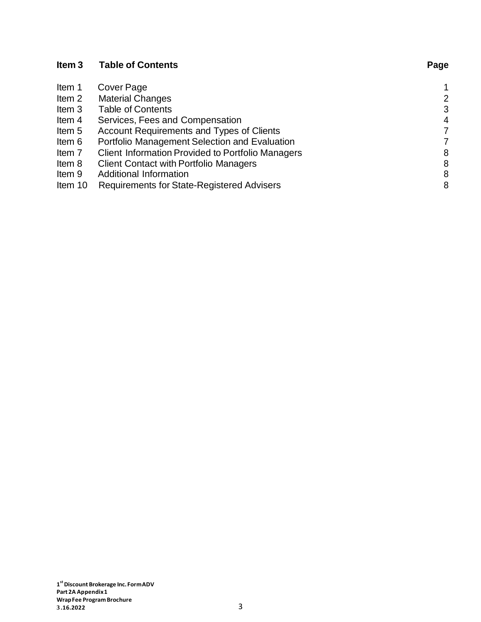| Item <sub>3</sub> | <b>Table of Contents</b>                                 | Page           |
|-------------------|----------------------------------------------------------|----------------|
| Item 1            | Cover Page                                               |                |
| Item 2            | <b>Material Changes</b>                                  | 2              |
| Item 3            | <b>Table of Contents</b>                                 | 3              |
| Item 4            | Services, Fees and Compensation                          | $\overline{4}$ |
| Item 5            | Account Requirements and Types of Clients                | 7              |
| Item 6            | Portfolio Management Selection and Evaluation            | 7              |
| Item 7            | <b>Client Information Provided to Portfolio Managers</b> | 8              |
| Item 8            | <b>Client Contact with Portfolio Managers</b>            | 8              |
| Item 9            | Additional Information                                   | 8              |
| Item 10           | <b>Requirements for State-Registered Advisers</b>        | 8              |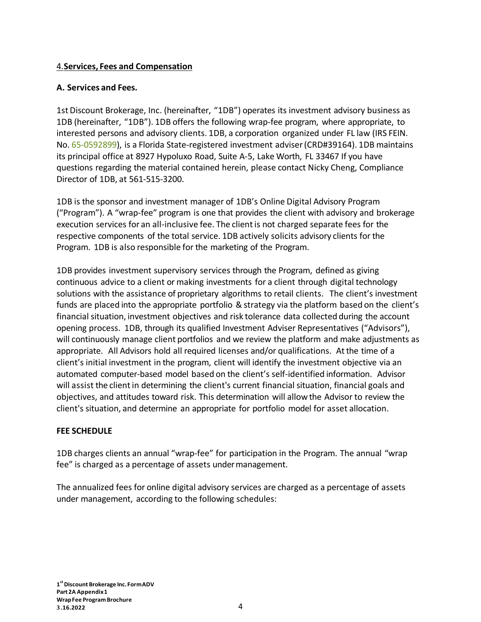# 4.**Services, Fees and Compensation**

## **A. Services and Fees.**

1st Discount Brokerage, Inc. (hereinafter, "1DB") operates its investment advisory business as 1DB (hereinafter, "1DB"). 1DB offers the following wrap-fee program, where appropriate, to interested persons and advisory clients. 1DB, a corporation organized under FL law (IRS FEIN. No. 65-0592899), is a Florida State-registered investment adviser(CRD#39164). 1DB maintains its principal office at 8927 Hypoluxo Road, Suite A-5, Lake Worth, FL 33467 If you have questions regarding the material contained herein, please contact Nicky Cheng, Compliance Director of 1DB, at 561-515-3200.

1DB is the sponsor and investment manager of 1DB's Online Digital Advisory Program ("Program"). A "wrap-fee" program is one that provides the client with advisory and brokerage execution services for an all-inclusive fee. The client is not charged separate fees for the respective components of the total service. 1DB actively solicits advisory clients for the Program. 1DB is also responsible for the marketing of the Program.

1DB provides investment supervisory services through the Program, defined as giving continuous advice to a client or making investments for a client through digital technology solutions with the assistance of proprietary algorithms to retail clients. The client's investment funds are placed into the appropriate portfolio & strategy via the platform based on the client's financial situation, investment objectives and risk tolerance data collected during the account opening process. 1DB, through its qualified Investment Adviser Representatives ("Advisors"), will continuously manage client portfolios and we review the platform and make adjustments as appropriate. All Advisors hold all required licenses and/or qualifications. Atthe time of a client's initial investment in the program, client will identify the investment objective via an automated computer-based model based on the client's self-identified information. Advisor will assist the client in determining the client's current financial situation, financial goals and objectives, and attitudes toward risk. This determination will allow the Advisor to review the client's situation, and determine an appropriate for portfolio model for asset allocation.

#### **FEE SCHEDULE**

1DB charges clients an annual "wrap-fee" for participation in the Program. The annual "wrap fee" is charged as a percentage of assets under management.

The annualized fees for online digital advisory services are charged as a percentage of assets under management, according to the following schedules: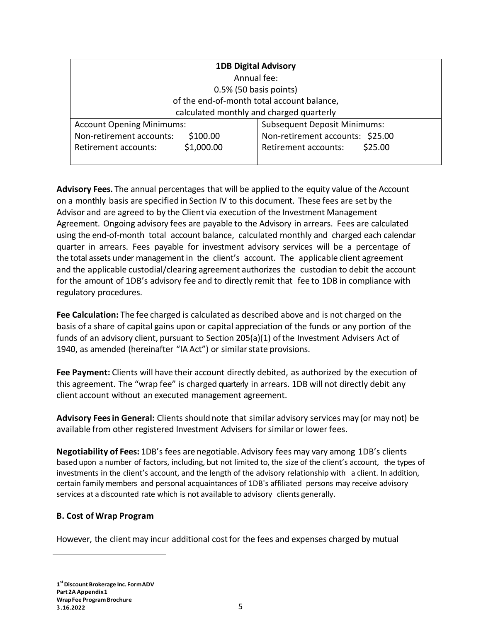| <b>1DB Digital Advisory</b>                |                                     |  |  |  |  |
|--------------------------------------------|-------------------------------------|--|--|--|--|
| Annual fee:                                |                                     |  |  |  |  |
| 0.5% (50 basis points)                     |                                     |  |  |  |  |
| of the end-of-month total account balance, |                                     |  |  |  |  |
| calculated monthly and charged quarterly   |                                     |  |  |  |  |
| <b>Account Opening Minimums:</b>           | <b>Subsequent Deposit Minimums:</b> |  |  |  |  |
| Non-retirement accounts:<br>\$100.00       | Non-retirement accounts: \$25.00    |  |  |  |  |
| \$1,000.00<br>Retirement accounts:         | \$25.00<br>Retirement accounts:     |  |  |  |  |
|                                            |                                     |  |  |  |  |

**Advisory Fees.** The annual percentages that will be applied to the equity value of the Account on a monthly basis are specified in Section IV to this document. These fees are set by the Advisor and are agreed to by the Client via execution of the Investment Management Agreement. Ongoing advisory fees are payable to the Advisory in arrears. Fees are calculated using the end-of-month total account balance, calculated monthly and charged each calendar quarter in arrears. Fees payable for investment advisory services will be a percentage of the total assets under management in the client's account. The applicable client agreement and the applicable custodial/clearing agreement authorizes the custodian to debit the account for the amount of 1DB's advisory fee and to directly remit that fee to 1DB in compliance with regulatory procedures.

**Fee Calculation:** The fee charged is calculated as described above and is not charged on the basis of a share of capital gains upon or capital appreciation of the funds or any portion of the funds of an advisory client, pursuant to Section 205(a)(1) ofthe Investment Advisers Act of 1940, as amended (hereinafter "IA Act") or similar state provisions.

**Fee Payment:** Clients will have their account directly debited, as authorized by the execution of this agreement. The "wrap fee" is charged quarterly in arrears. 1DB will not directly debit any client account without an executed management agreement.

**Advisory Feesin General:** Clients should note that similar advisory services may (or may not) be available from other registered Investment Advisers forsimilar or lower fees.

**Negotiability of Fees:** 1DB's fees are negotiable. Advisory fees may vary among 1DB's clients based upon a number of factors, including, but not limited to, the size of the client's account, the types of investments in the client's account, and the length of the advisory relationship with a client. In addition, certain familymembers and personal acquaintances of 1DB's affiliated persons may receive advisory services at a discounted rate which is not available to advisory clients generally.

## **B. Cost of Wrap Program**

<span id="page-4-0"></span><u>.</u>

However, the client may incur additional cost for the fees and expenses charged by mutual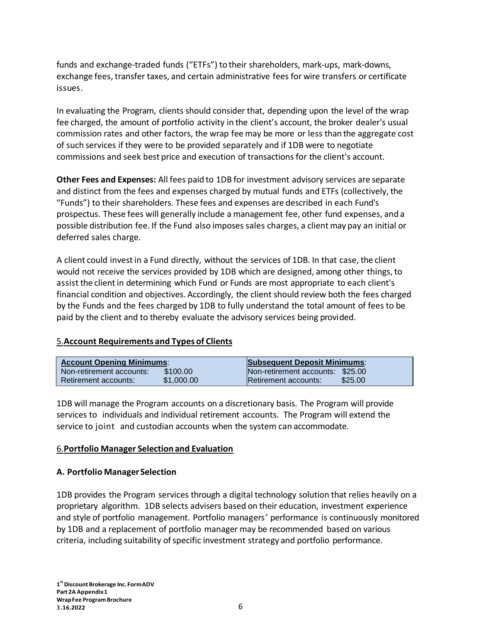funds and exchange-traded funds ("ETFs") to their shareholders, mark-ups, mark-downs, exchange fees, transfer taxes, and certain administrative fees for wire transfers or certificate issues.

In evaluating the Program, clients should consider that, depending upon the level of the wrap fee charged, the amount of portfolio activity in the client's account, the broker dealer's usual commission rates and other factors, the wrap fee may be more or less than the aggregate cost of such services if they were to be provided separately and if 1DB were to negotiate commissions and seek best price and execution of transactions for the client's account.

**Other Fees and Expenses:** All fees paid to 1DB for investment advisory services are separate and distinct from the fees and expenses charged by mutual funds and ETFs (collectively, the "Funds") to their shareholders. These fees and expenses are described in each Fund's prospectus. These fees will generally include a management fee, other fund expenses, and a possible distribution fee. If the Fund also imposes sales charges, a client may pay an initial or deferred sales charge.

A client could investin a Fund directly, without the services of 1DB. In that case, the client would not receive the services provided by 1DB which are designed, among other things, to assist the client in determining which Fund or Funds are most appropriate to each client's financial condition and objectives. Accordingly, the client should review both the fees charged by the Funds and the fees charged by 1DB to fully understand the total amount of fees to be paid by the client and to thereby evaluate the advisory services being provided.

## 5.**Account Requirements and Types of Clients**

| <b>Account Opening Minimums:</b> |            | <b>Subsequent Deposit Minimums:</b> |         |
|----------------------------------|------------|-------------------------------------|---------|
| Non-retirement accounts:         | \$100.00   | Non-retirement accounts: \$25.00    |         |
| Retirement accounts:             | \$1,000.00 | Retirement accounts:                | \$25.00 |

1DB will manage the Program accounts on a discretionary basis. The Program will provide services to individuals and individual retirement accounts. The Program will extend the service to joint and custodian accounts when the system can accommodate.

## 6.**Portfolio Manager Selectionand Evaluation**

## **A. Portfolio Manager Selection**

1DB provides the Program services through a digital technology solution that relies heavily on a proprietary algorithm. 1DB selects advisers based on their education, investment experience and style of portfolio management. Portfolio managers' performance is continuously monitored by 1DB and a replacement of portfolio manager may be recommended based on various criteria, including suitability of specific investment strategy and portfolio performance.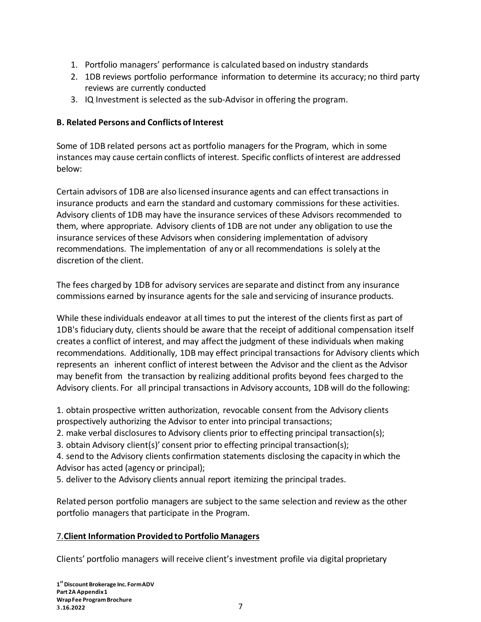- 1. Portfolio managers' performance is calculated based on industry standards
- 2. 1DB reviews portfolio performance information to determine its accuracy; no third party reviews are currently conducted
- 3. IQ Investment is selected as the sub-Advisor in offering the program.

# **B. Related Persons and Conflicts of Interest**

Some of 1DB related persons act as portfolio managers for the Program, which in some instances may cause certain conflicts of interest. Specific conflicts of interest are addressed below:

Certain advisors of 1DB are also licensed insurance agents and can effect transactions in insurance products and earn the standard and customary commissions for these activities. Advisory clients of 1DB may have the insurance services ofthese Advisors recommended to them, where appropriate. Advisory clients of 1DB are not under any obligation to use the insurance services ofthese Advisors when considering implementation of advisory recommendations. The implementation of any or all recommendations is solely atthe discretion of the client.

The fees charged by 1DB for advisory services are separate and distinct from any insurance commissions earned by insurance agents for the sale and servicing of insurance products.

While these individuals endeavor at all times to put the interest of the clients first as part of 1DB's fiduciary duty, clients should be aware that the receipt of additional compensation itself creates a conflict of interest, and may affectthe judgment of these individuals when making recommendations. Additionally, 1DB may effect principal transactions for Advisory clients which represents an inherent conflict of interest between the Advisor and the client as the Advisor may benefit from the transaction by realizing additional profits beyond fees charged to the Advisory clients. For all principal transactions in Advisory accounts, 1DB will do the following:

1. obtain prospective written authorization, revocable consent from the Advisory clients prospectively authorizing the Advisor to enter into principal transactions;

- 2. make verbal disclosures to Advisory clients prior to effecting principal transaction(s);
- 3. obtain Advisory client(s)' consent prior to effecting principal transaction(s);
- 4. send to the Advisory clients confirmation statements disclosing the capacity in which the Advisor has acted (agency or principal);
- 5. deliver to the Advisory clients annual report itemizing the principal trades.

Related person portfolio managers are subject to the same selection and review as the other portfolio managers that participate in the Program.

## 7.**Client Information Provided to Portfolio Managers**

Clients' portfolio managers will receive client's investment profile via digital proprietary